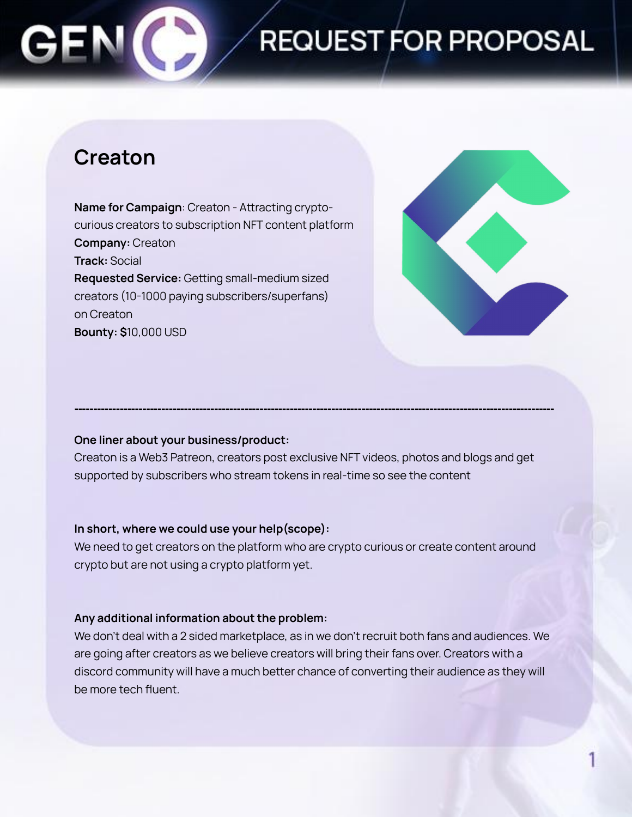## **REQUEST FOR PROPOSAL**

### **Creaton**

**Name for Campaign**: Creaton - Attracting cryptocurious creators to subscription NFT content platform **Company:** Creaton **Track:** Social **Requested Service:** Getting small-medium sized creators (10-1000 paying subscribers/superfans) on Creaton **Bounty: \$**10,000 USD



#### **One liner about your business/product:**

Creaton is a Web3 Patreon, creators post exclusive NFT videos, photos and blogs and get supported by subscribers who stream tokens in real-time so see the content

**-------------------------------------------------------------------------------------------------------------------------------**

#### **In short, where we could use your help(scope):**

We need to get creators on the platform who are crypto curious or create content around crypto but are not using a crypto platform yet.

#### **Any additional information about the problem:**

We don't deal with a 2 sided marketplace, as in we don't recruit both fans and audiences. We are going after creators as we believe creators will bring their fans over. Creators with a discord community will have a much better chance of converting their audience as they will be more tech fluent.